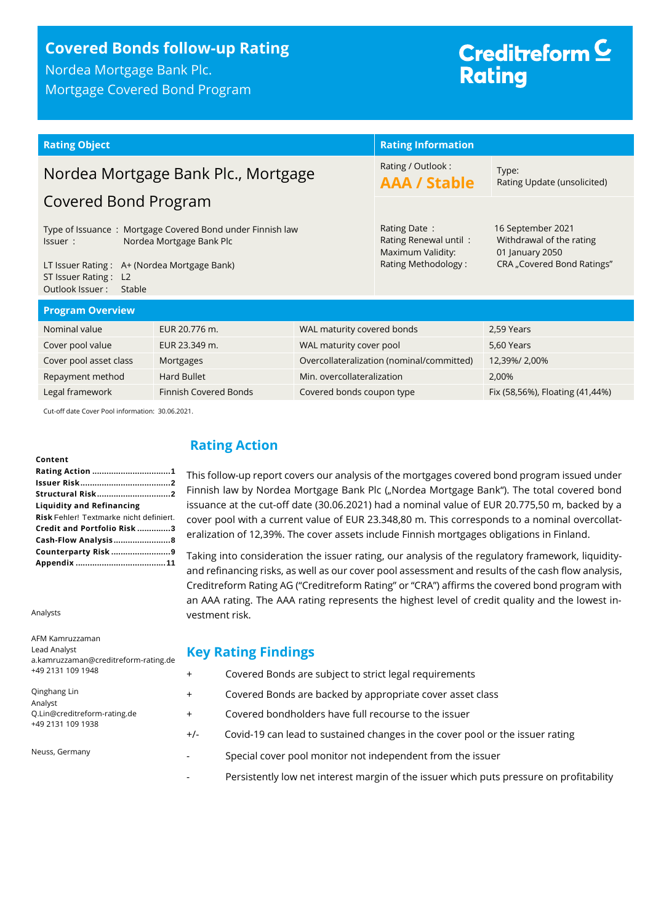# **Covered Bonds follow-up Rating**

Nordea Mortgage Bank Plc. Mortgage Covered Bond Program

# Creditreform<sup>C</sup> **Rating**

| <b>Rating Object</b>                                                                                                                                                                                  |               |                                                                                   | <b>Rating Information</b>                                                                      |                                 |
|-------------------------------------------------------------------------------------------------------------------------------------------------------------------------------------------------------|---------------|-----------------------------------------------------------------------------------|------------------------------------------------------------------------------------------------|---------------------------------|
| Nordea Mortgage Bank Plc., Mortgage<br>Covered Bond Program                                                                                                                                           |               | Rating / Outlook:<br><b>AAA / Stable</b>                                          | Type:<br>Rating Update (unsolicited)                                                           |                                 |
| Type of Issuance: Mortgage Covered Bond under Finnish law<br>Nordea Mortgage Bank Plc<br>Issuer :<br>LT Issuer Rating: A+ (Nordea Mortgage Bank)<br>ST Issuer Rating: L2<br>Outlook Issuer:<br>Stable |               | Rating Date:<br>Rating Renewal until:<br>Maximum Validity:<br>Rating Methodology: | 16 September 2021<br>Withdrawal of the rating<br>01 January 2050<br>CRA "Covered Bond Ratings" |                                 |
| <b>Program Overview</b>                                                                                                                                                                               |               |                                                                                   |                                                                                                |                                 |
| Nominal value                                                                                                                                                                                         | EUR 20.776 m. | WAL maturity covered bonds                                                        |                                                                                                | 2,59 Years                      |
| Cover pool value<br>EUR 23.349 m.<br>WAL maturity cover pool                                                                                                                                          |               |                                                                                   | 5,60 Years                                                                                     |                                 |
| Cover pool asset class<br>Mortgages                                                                                                                                                                   |               |                                                                                   | Overcollateralization (nominal/committed)                                                      | 12,39%/2,00%                    |
| Hard Bullet<br>Repayment method                                                                                                                                                                       |               | Min. overcollateralization                                                        |                                                                                                | 2,00%                           |
| <b>Finnish Covered Bonds</b><br>Legal framework                                                                                                                                                       |               | Covered bonds coupon type                                                         |                                                                                                | Fix (58,56%), Floating (41,44%) |

Cut-off date Cover Pool information: 30.06.2021.

#### **Content**

| <b>Structural Risk2</b>                 |
|-----------------------------------------|
| <b>Liquidity and Refinancing</b>        |
| Risk Fehler! Textmarke nicht definiert. |
| Credit and Portfolio Risk 3             |
| Cash-Flow Analysis8                     |
| Counterparty Risk 9                     |
|                                         |

Analysts

AFM Kamruzzaman Lead Analyst

# <span id="page-0-0"></span>**Rating Action**

This follow-up report covers our analysis of the mortgages covered bond program issued under Finnish law by Nordea Mortgage Bank Plc ("Nordea Mortgage Bank"). The total covered bond issuance at the cut-off date (30.06.2021) had a nominal value of EUR 20.775,50 m, backed by a cover pool with a current value of EUR 23.348,80 m. This corresponds to a nominal overcollateralization of 12,39%. The cover assets include Finnish mortgages obligations in Finland.

Taking into consideration the issuer rating, our analysis of the regulatory framework, liquidityand refinancing risks, as well as our cover pool assessment and results of the cash flow analysis, Creditreform Rating AG ("Creditreform Rating" or "CRA") affirms the covered bond program with an AAA rating. The AAA rating represents the highest level of credit quality and the lowest investment risk.

# **Key Rating Findings**

| a.kamruzzaman@creditreform-rating.de              | $\cdots$ , $\cdots$ , $\cdots$ , $\cdots$ , $\cdots$ , $\cdots$ , $\cdots$ |                                                                               |  |
|---------------------------------------------------|----------------------------------------------------------------------------|-------------------------------------------------------------------------------|--|
| +49 2131 109 1948                                 | $\pm$                                                                      | Covered Bonds are subject to strict legal requirements                        |  |
| Qinghang Lin<br>Analyst                           | $^{+}$                                                                     | Covered Bonds are backed by appropriate cover asset class                     |  |
| Q.Lin@creditreform-rating.de<br>+49 2131 109 1938 | $^{+}$                                                                     | Covered bondholders have full recourse to the issuer                          |  |
|                                                   | $+/-$                                                                      | Covid-19 can lead to sustained changes in the cover pool or the issuer rating |  |
| Neuss, Germany                                    | $\overline{\phantom{a}}$                                                   | Special cover pool monitor not independent from the issuer                    |  |

Persistently low net interest margin of the issuer which puts pressure on profitability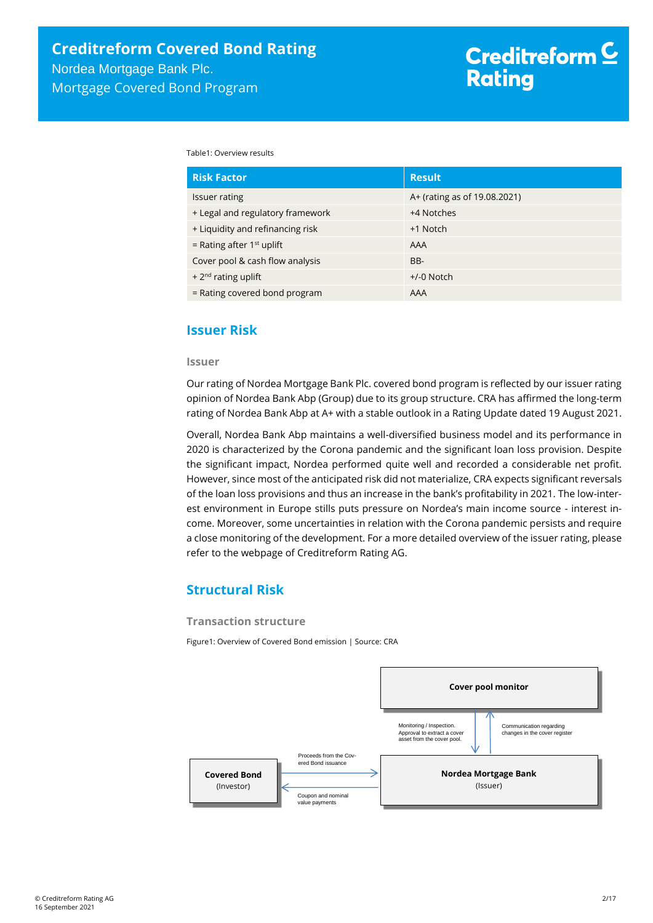Table1: Overview results

| <b>Risk Factor</b>               | <b>Result</b>                |
|----------------------------------|------------------------------|
| Issuer rating                    | A+ (rating as of 19.08.2021) |
| + Legal and regulatory framework | +4 Notches                   |
| + Liquidity and refinancing risk | +1 Notch                     |
| = Rating after $1st$ uplift      | AAA                          |
| Cover pool & cash flow analysis  | BB-                          |
| + $2^{nd}$ rating uplift         | $+/-0$ Notch                 |
| = Rating covered bond program    | AAA                          |

# <span id="page-1-0"></span>**Issuer Risk**

#### **Issuer**

<span id="page-1-1"></span>Our rating of Nordea Mortgage Bank Plc. covered bond program is reflected by our issuer rating opinion of Nordea Bank Abp (Group) due to its group structure. CRA has affirmed the long-term rating of Nordea Bank Abp at A+ with a stable outlook in a Rating Update dated 19 August 2021.

Overall, Nordea Bank Abp maintains a well-diversified business model and its performance in 2020 is characterized by the Corona pandemic and the significant loan loss provision. Despite the significant impact, Nordea performed quite well and recorded a considerable net profit. However, since most of the anticipated risk did not materialize, CRA expects significant reversals of the loan loss provisions and thus an increase in the bank's profitability in 2021. The low-interest environment in Europe stills puts pressure on Nordea's main income source - interest income. Moreover, some uncertainties in relation with the Corona pandemic persists and require a close monitoring of the development. For a more detailed overview of the issuer rating, please refer to the webpage of Creditreform Rating AG.

# **Structural Risk**

#### **Transaction structure**

Figure1: Overview of Covered Bond emission | Source: CRA

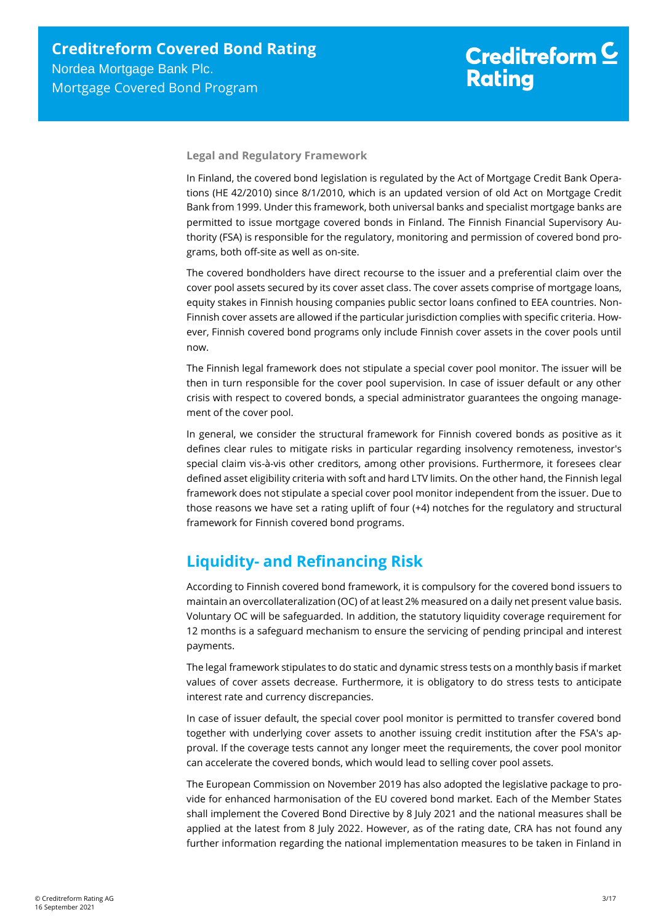**Legal and Regulatory Framework**

<span id="page-2-0"></span>In Finland, the covered bond legislation is regulated by the Act of Mortgage Credit Bank Operations (HE 42/2010) since 8/1/2010, which is an updated version of old Act on Mortgage Credit Bank from 1999. Under this framework, both universal banks and specialist mortgage banks are permitted to issue mortgage covered bonds in Finland. The Finnish Financial Supervisory Authority (FSA) is responsible for the regulatory, monitoring and permission of covered bond programs, both off-site as well as on-site.

The covered bondholders have direct recourse to the issuer and a preferential claim over the cover pool assets secured by its cover asset class. The cover assets comprise of mortgage loans, equity stakes in Finnish housing companies public sector loans confined to EEA countries. Non-Finnish cover assets are allowed if the particular jurisdiction complies with specific criteria. However, Finnish covered bond programs only include Finnish cover assets in the cover pools until now.

The Finnish legal framework does not stipulate a special cover pool monitor. The issuer will be then in turn responsible for the cover pool supervision. In case of issuer default or any other crisis with respect to covered bonds, a special administrator guarantees the ongoing management of the cover pool.

In general, we consider the structural framework for Finnish covered bonds as positive as it defines clear rules to mitigate risks in particular regarding insolvency remoteness, investor's special claim vis-à-vis other creditors, among other provisions. Furthermore, it foresees clear defined asset eligibility criteria with soft and hard LTV limits. On the other hand, the Finnish legal framework does not stipulate a special cover pool monitor independent from the issuer. Due to those reasons we have set a rating uplift of four (+4) notches for the regulatory and structural framework for Finnish covered bond programs.

# **Liquidity- and Refinancing Risk**

According to Finnish covered bond framework, it is compulsory for the covered bond issuers to maintain an overcollateralization (OC) of at least 2% measured on a daily net present value basis. Voluntary OC will be safeguarded. In addition, the statutory liquidity coverage requirement for 12 months is a safeguard mechanism to ensure the servicing of pending principal and interest payments.

The legal framework stipulates to do static and dynamic stress tests on a monthly basis if market values of cover assets decrease. Furthermore, it is obligatory to do stress tests to anticipate interest rate and currency discrepancies.

In case of issuer default, the special cover pool monitor is permitted to transfer covered bond together with underlying cover assets to another issuing credit institution after the FSA's approval. If the coverage tests cannot any longer meet the requirements, the cover pool monitor can accelerate the covered bonds, which would lead to selling cover pool assets.

The European Commission on November 2019 has also adopted the legislative package to provide for enhanced harmonisation of the EU covered bond market. Each of the Member States shall implement the Covered Bond Directive by 8 July 2021 and the national measures shall be applied at the latest from 8 July 2022. However, as of the rating date, CRA has not found any further information regarding the national implementation measures to be taken in Finland in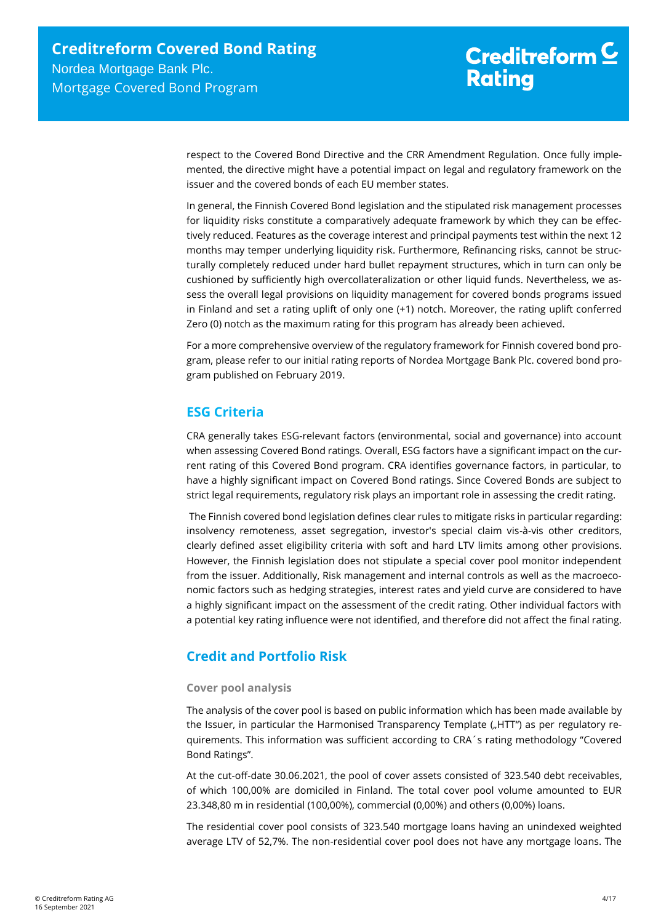respect to the Covered Bond Directive and the CRR Amendment Regulation. Once fully implemented, the directive might have a potential impact on legal and regulatory framework on the issuer and the covered bonds of each EU member states.

In general, the Finnish Covered Bond legislation and the stipulated risk management processes for liquidity risks constitute a comparatively adequate framework by which they can be effectively reduced. Features as the coverage interest and principal payments test within the next 12 months may temper underlying liquidity risk. Furthermore, Refinancing risks, cannot be structurally completely reduced under hard bullet repayment structures, which in turn can only be cushioned by sufficiently high overcollateralization or other liquid funds. Nevertheless, we assess the overall legal provisions on liquidity management for covered bonds programs issued in Finland and set a rating uplift of only one (+1) notch. Moreover, the rating uplift conferred Zero (0) notch as the maximum rating for this program has already been achieved.

For a more comprehensive overview of the regulatory framework for Finnish covered bond program, please refer to our initial rating reports of Nordea Mortgage Bank Plc. covered bond program published on February 2019.

# **ESG Criteria**

CRA generally takes ESG-relevant factors (environmental, social and governance) into account when assessing Covered Bond ratings. Overall, ESG factors have a significant impact on the current rating of this Covered Bond program. CRA identifies governance factors, in particular, to have a highly significant impact on Covered Bond ratings. Since Covered Bonds are subject to strict legal requirements, regulatory risk plays an important role in assessing the credit rating.

The Finnish covered bond legislation defines clear rules to mitigate risks in particular regarding: insolvency remoteness, asset segregation, investor's special claim vis-à-vis other creditors, clearly defined asset eligibility criteria with soft and hard LTV limits among other provisions. However, the Finnish legislation does not stipulate a special cover pool monitor independent from the issuer. Additionally, Risk management and internal controls as well as the macroeconomic factors such as hedging strategies, interest rates and yield curve are considered to have a highly significant impact on the assessment of the credit rating. Other individual factors with a potential key rating influence were not identified, and therefore did not affect the final rating.

# **Credit and Portfolio Risk**

# **Cover pool analysis**

The analysis of the cover pool is based on public information which has been made available by the Issuer, in particular the Harmonised Transparency Template ("HTT") as per regulatory requirements. This information was sufficient according to CRA´s rating methodology "Covered Bond Ratings".

At the cut-off-date 30.06.2021, the pool of cover assets consisted of 323.540 debt receivables, of which 100,00% are domiciled in Finland. The total cover pool volume amounted to EUR 23.348,80 m in residential (100,00%), commercial (0,00%) and others (0,00%) loans.

The residential cover pool consists of 323.540 mortgage loans having an unindexed weighted average LTV of 52,7%. The non-residential cover pool does not have any mortgage loans. The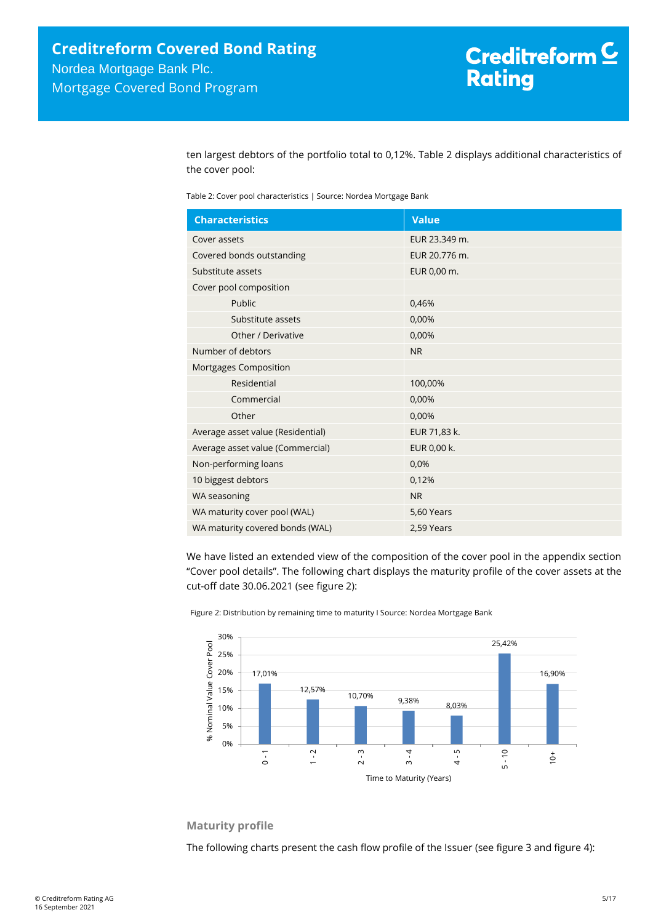ten largest debtors of the portfolio total to 0,12%. [Table 2](#page-4-0) displays additional characteristics of the cover pool:

<span id="page-4-0"></span>Table 2: Cover pool characteristics | Source: Nordea Mortgage Bank

| <b>Characteristics</b>            | <b>Value</b>  |
|-----------------------------------|---------------|
| Cover assets                      | EUR 23.349 m. |
| Covered bonds outstanding         | EUR 20.776 m. |
| Substitute assets                 | EUR 0,00 m.   |
| Cover pool composition            |               |
| Public                            | 0,46%         |
| Substitute assets                 | 0,00%         |
| Other / Derivative                | 0,00%         |
| Number of debtors                 | <b>NR</b>     |
| Mortgages Composition             |               |
| Residential                       | 100,00%       |
| Commercial                        | 0,00%         |
| Other                             | 0,00%         |
| Average asset value (Residential) | EUR 71,83 k.  |
| Average asset value (Commercial)  | EUR 0,00 k.   |
| Non-performing loans              | 0,0%          |
| 10 biggest debtors                | 0,12%         |
| WA seasoning                      | <b>NR</b>     |
| WA maturity cover pool (WAL)      | 5,60 Years    |
| WA maturity covered bonds (WAL)   | 2,59 Years    |

We have listed an extended view of the composition of the cover pool in the appendix section "Cover pool details". The following chart displays the maturity profile of the cover assets at the cut-off date 30.06.2021 (see [figure 2\)](#page-4-1):

<span id="page-4-1"></span>Figure 2: Distribution by remaining time to maturity I Source: Nordea Mortgage Bank



## **Maturity profile**

The following charts present the cash flow profile of the Issuer (see [figure 3](#page-5-0) an[d figure 4\)](#page-5-1):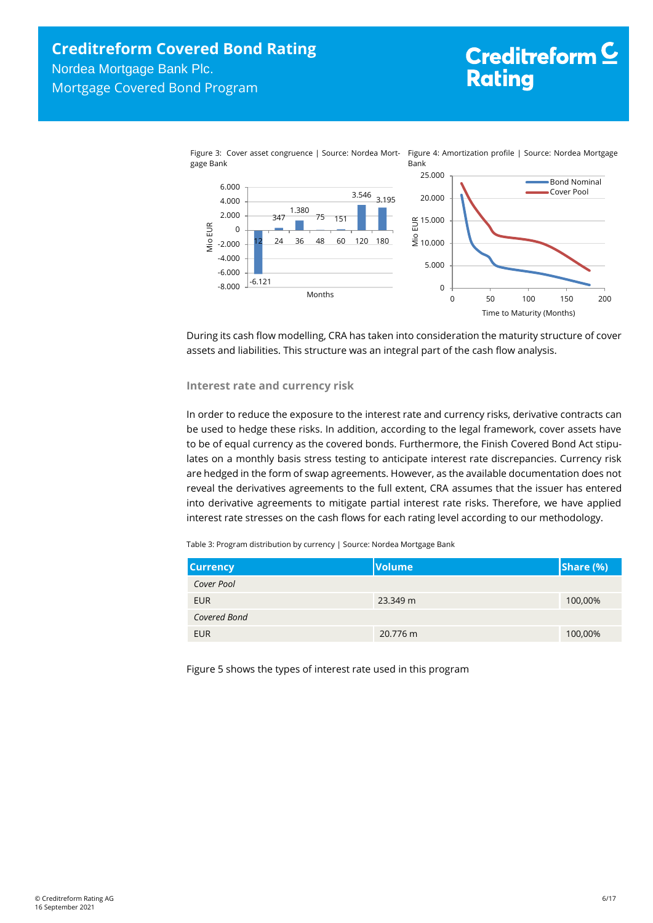<span id="page-5-1"></span><span id="page-5-0"></span>

During its cash flow modelling, CRA has taken into consideration the maturity structure of cover assets and liabilities. This structure was an integral part of the cash flow analysis.

### **Interest rate and currency risk**

In order to reduce the exposure to the interest rate and currency risks, derivative contracts can be used to hedge these risks. In addition, according to the legal framework, cover assets have to be of equal currency as the covered bonds. Furthermore, the Finish Covered Bond Act stipulates on a monthly basis stress testing to anticipate interest rate discrepancies. Currency risk are hedged in the form of swap agreements. However, as the available documentation does not reveal the derivatives agreements to the full extent, CRA assumes that the issuer has entered into derivative agreements to mitigate partial interest rate risks. Therefore, we have applied interest rate stresses on the cash flows for each rating level according to our methodology.

Table 3: Program distribution by currency | Source: Nordea Mortgage Bank

| <b>Currency</b> | <b>Volume</b> | Share (%) |
|-----------------|---------------|-----------|
| Cover Pool      |               |           |
| <b>EUR</b>      | 23.349 m      | 100,00%   |
| Covered Bond    |               |           |
| <b>EUR</b>      | 20.776 m      | 100,00%   |

Figure 5 shows the types of interest rate used in this program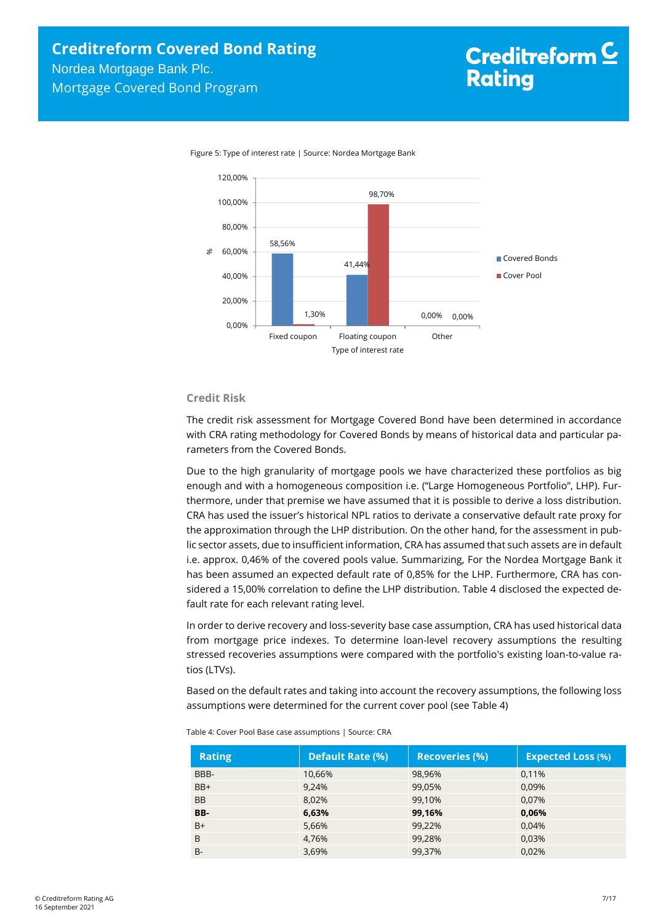

Figure 5: Type of interest rate | Source: Nordea Mortgage Bank

## **Credit Risk**

The credit risk assessment for Mortgage Covered Bond have been determined in accordance with CRA rating methodology for Covered Bonds by means of historical data and particular parameters from the Covered Bonds.

Due to the high granularity of mortgage pools we have characterized these portfolios as big enough and with a homogeneous composition i.e. ("Large Homogeneous Portfolio", LHP). Furthermore, under that premise we have assumed that it is possible to derive a loss distribution. CRA has used the issuer's historical NPL ratios to derivate a conservative default rate proxy for the approximation through the LHP distribution. On the other hand, for the assessment in public sector assets, due to insufficient information, CRA has assumed that such assets are in default i.e. approx. 0,46% of the covered pools value. Summarizing, For the Nordea Mortgage Bank it has been assumed an expected default rate of 0,85% for the LHP. Furthermore, CRA has considered a 15,00% correlation to define the LHP distribution. [Table 4](#page-6-0) disclosed the expected default rate for each relevant rating level.

In order to derive recovery and loss-severity base case assumption, CRA has used historical data from mortgage price indexes. To determine loan-level recovery assumptions the resulting stressed recoveries assumptions were compared with the portfolio's existing loan-to-value ratios (LTVs).

Based on the default rates and taking into account the recovery assumptions, the following loss assumptions were determined for the current cover pool (se[e Table 4\)](#page-6-0)

| <b>Rating</b> | <b>Default Rate (%)</b> | <b>Recoveries (%)</b> | <b>Expected Loss (%)</b> |
|---------------|-------------------------|-----------------------|--------------------------|
| BBB-          | 10,66%                  | 98,96%                | 0,11%                    |
| $BB+$         | 9,24%                   | 99,05%                | 0.09%                    |
| <b>BB</b>     | 8,02%                   | 99,10%                | 0.07%                    |
| BB-           | 6,63%                   | 99,16%                | 0,06%                    |
| $B+$          | 5,66%                   | 99,22%                | 0.04%                    |
| B             | 4,76%                   | 99,28%                | 0,03%                    |
| $B -$         | 3,69%                   | 99,37%                | 0.02%                    |

<span id="page-6-0"></span>Table 4: Cover Pool Base case assumptions | Source: CRA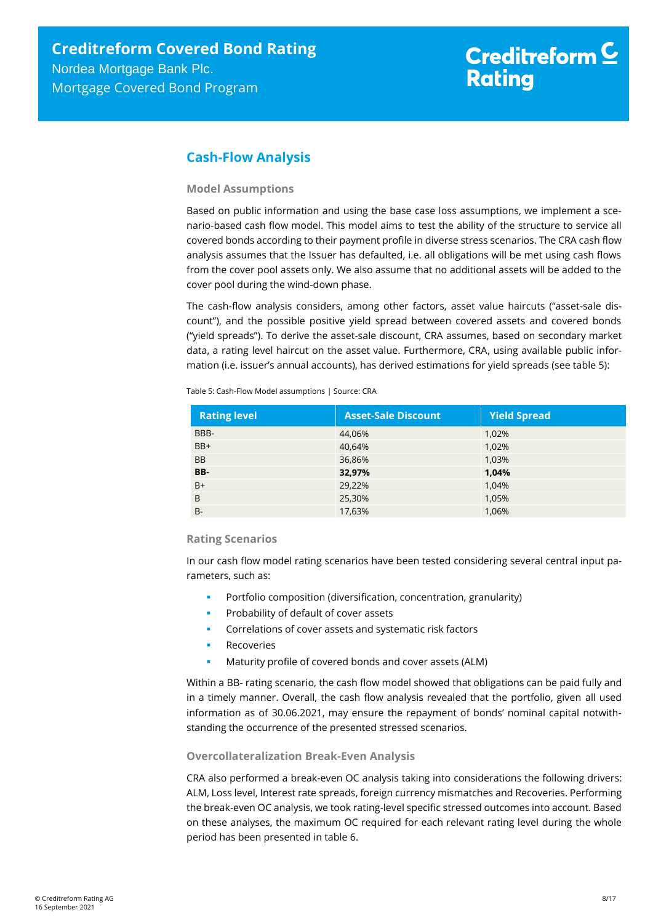# <span id="page-7-0"></span>**Cash-Flow Analysis**

# **Model Assumptions**

Based on public information and using the base case loss assumptions, we implement a scenario-based cash flow model. This model aims to test the ability of the structure to service all covered bonds according to their payment profile in diverse stress scenarios. The CRA cash flow analysis assumes that the Issuer has defaulted, i.e. all obligations will be met using cash flows from the cover pool assets only. We also assume that no additional assets will be added to the cover pool during the wind-down phase.

The cash-flow analysis considers, among other factors, asset value haircuts ("asset-sale discount"), and the possible positive yield spread between covered assets and covered bonds ("yield spreads"). To derive the asset-sale discount, CRA assumes, based on secondary market data, a rating level haircut on the asset value. Furthermore, CRA, using available public information (i.e. issuer's annual accounts), has derived estimations for yield spreads (se[e table 5\)](#page-7-1):

<span id="page-7-1"></span>Table 5: Cash-Flow Model assumptions | Source: CRA

| <b>Rating level</b> | <b>Asset-Sale Discount</b> | <b>Yield Spread</b> |
|---------------------|----------------------------|---------------------|
| BBB-                | 44.06%                     | 1.02%               |
| $BB+$               | 40,64%                     | 1,02%               |
| <b>BB</b>           | 36,86%                     | 1,03%               |
| BB-                 | 32,97%                     | 1,04%               |
| $B+$                | 29,22%                     | 1,04%               |
| B                   | 25,30%                     | 1,05%               |
| $B -$               | 17,63%                     | 1,06%               |

## **Rating Scenarios**

In our cash flow model rating scenarios have been tested considering several central input parameters, such as:

- Portfolio composition (diversification, concentration, granularity)
- Probability of default of cover assets
- Correlations of cover assets and systematic risk factors
- Recoveries
- Maturity profile of covered bonds and cover assets (ALM)

Within a BB- rating scenario, the cash flow model showed that obligations can be paid fully and in a timely manner. Overall, the cash flow analysis revealed that the portfolio, given all used information as of 30.06.2021, may ensure the repayment of bonds' nominal capital notwithstanding the occurrence of the presented stressed scenarios.

# **Overcollateralization Break-Even Analysis**

CRA also performed a break-even OC analysis taking into considerations the following drivers: ALM, Loss level, Interest rate spreads, foreign currency mismatches and Recoveries. Performing the break-even OC analysis, we took rating-level specific stressed outcomes into account. Based on these analyses, the maximum OC required for each relevant rating level during the whole period has been presented in [table 6.](#page-8-1)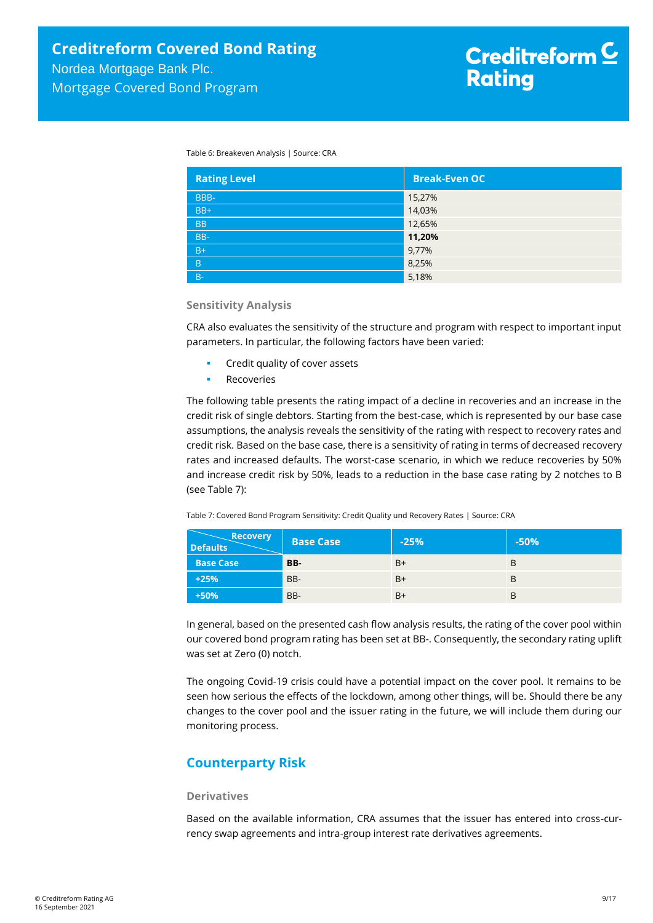<span id="page-8-1"></span>Table 6: Breakeven Analysis | Source: CRA

| <b>Rating Level</b> | <b>Break-Even OC</b> |
|---------------------|----------------------|
| BBB-                | 15,27%               |
| $BB+$               | 14,03%               |
| <b>BB</b>           | 12,65%               |
| BB-                 | 11,20%               |
| $B+$                | 9,77%                |
| B                   | 8,25%                |
| $B -$               | 5,18%                |

#### **Sensitivity Analysis**

CRA also evaluates the sensitivity of the structure and program with respect to important input parameters. In particular, the following factors have been varied:

- Credit quality of cover assets
- Recoveries

The following table presents the rating impact of a decline in recoveries and an increase in the credit risk of single debtors. Starting from the best-case, which is represented by our base case assumptions, the analysis reveals the sensitivity of the rating with respect to recovery rates and credit risk. Based on the base case, there is a sensitivity of rating in terms of decreased recovery rates and increased defaults. The worst-case scenario, in which we reduce recoveries by 50% and increase credit risk by 50%, leads to a reduction in the base case rating by 2 notches to B (se[e Table 7\)](#page-8-2):

<span id="page-8-2"></span>Table 7: Covered Bond Program Sensitivity: Credit Quality und Recovery Rates | Source: CRA

| <b>Recovery</b><br><b>Defaults</b> | <b>Base Case</b> | $-25%$ | $-50%$ |
|------------------------------------|------------------|--------|--------|
| <b>Base Case</b>                   | BB-              | B+     | B      |
| $+25%$                             | BB-              | B+     | B      |
| $+50%$                             | BB-              | $B+$   | B      |

<span id="page-8-0"></span>In general, based on the presented cash flow analysis results, the rating of the cover pool within our covered bond program rating has been set at BB-. Consequently, the secondary rating uplift was set at Zero (0) notch.

The ongoing Covid-19 crisis could have a potential impact on the cover pool. It remains to be seen how serious the effects of the lockdown, among other things, will be. Should there be any changes to the cover pool and the issuer rating in the future, we will include them during our monitoring process.

# **Counterparty Risk**

#### **Derivatives**

Based on the available information, CRA assumes that the issuer has entered into cross-currency swap agreements and intra-group interest rate derivatives agreements.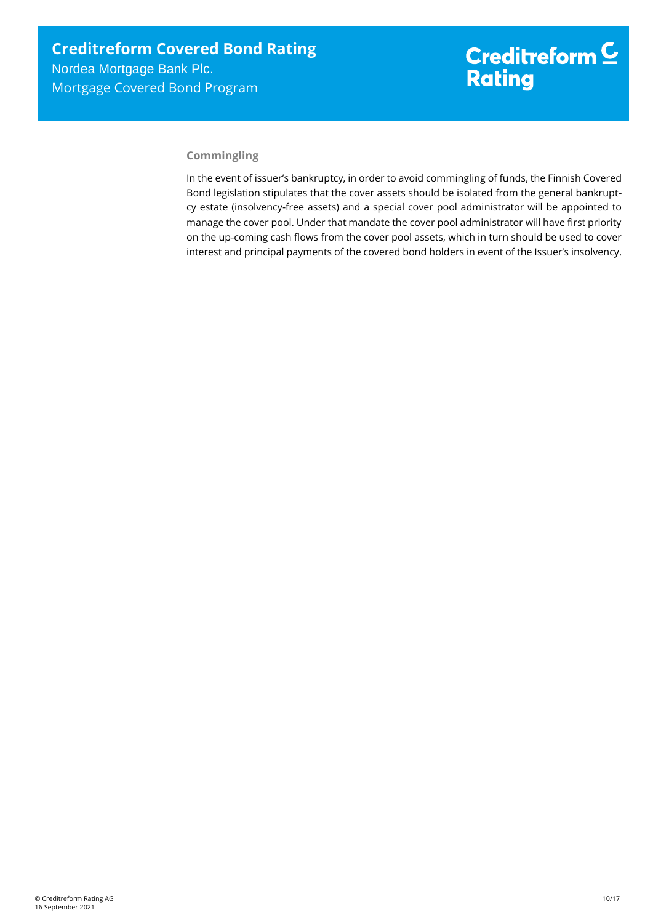# **Commingling**

In the event of issuer's bankruptcy, in order to avoid commingling of funds, the Finnish Covered Bond legislation stipulates that the cover assets should be isolated from the general bankruptcy estate (insolvency-free assets) and a special cover pool administrator will be appointed to manage the cover pool. Under that mandate the cover pool administrator will have first priority on the up-coming cash flows from the cover pool assets, which in turn should be used to cover interest and principal payments of the covered bond holders in event of the Issuer's insolvency.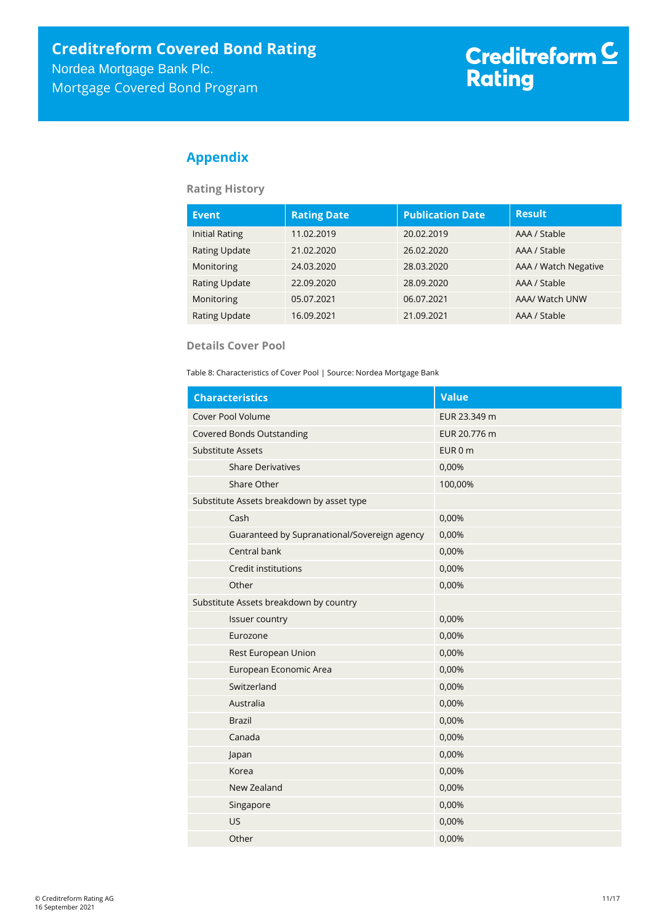# <span id="page-10-0"></span>**Appendix**

**Rating History**

| <b>Event</b>          | <b>Rating Date</b> | <b>Publication Date</b> | <b>Result</b>        |
|-----------------------|--------------------|-------------------------|----------------------|
| <b>Initial Rating</b> | 11.02.2019         | 20.02.2019              | AAA / Stable         |
| <b>Rating Update</b>  | 21.02.2020         | 26.02.2020              | AAA / Stable         |
| Monitoring            | 24.03.2020         | 28.03.2020              | AAA / Watch Negative |
| <b>Rating Update</b>  | 22.09.2020         | 28.09.2020              | AAA / Stable         |
| Monitoring            | 05.07.2021         | 06.07.2021              | AAA/ Watch UNW       |
| <b>Rating Update</b>  | 16.09.2021         | 21.09.2021              | AAA / Stable         |

# **Details Cover Pool**

Table 8: Characteristics of Cover Pool | Source: Nordea Mortgage Bank

| <b>Characteristics</b>                       | <b>Value</b> |
|----------------------------------------------|--------------|
| Cover Pool Volume                            | EUR 23.349 m |
| <b>Covered Bonds Outstanding</b>             | EUR 20.776 m |
| <b>Substitute Assets</b>                     | EUR 0 m      |
| <b>Share Derivatives</b>                     | 0,00%        |
| Share Other                                  | 100,00%      |
| Substitute Assets breakdown by asset type    |              |
| Cash                                         | 0,00%        |
| Guaranteed by Supranational/Sovereign agency | 0,00%        |
| Central bank                                 | 0,00%        |
| Credit institutions                          | 0,00%        |
| Other                                        | 0,00%        |
| Substitute Assets breakdown by country       |              |
| Issuer country                               | 0,00%        |
| Eurozone                                     | 0,00%        |
| Rest European Union                          | 0,00%        |
| European Economic Area                       | 0,00%        |
| Switzerland                                  | 0,00%        |
| Australia                                    | 0,00%        |
| <b>Brazil</b>                                | 0,00%        |
| Canada                                       | 0,00%        |
| Japan                                        | 0,00%        |
| Korea                                        | 0,00%        |
| New Zealand                                  | 0,00%        |
| Singapore                                    | 0,00%        |
| <b>US</b>                                    | 0,00%        |
| Other                                        | 0,00%        |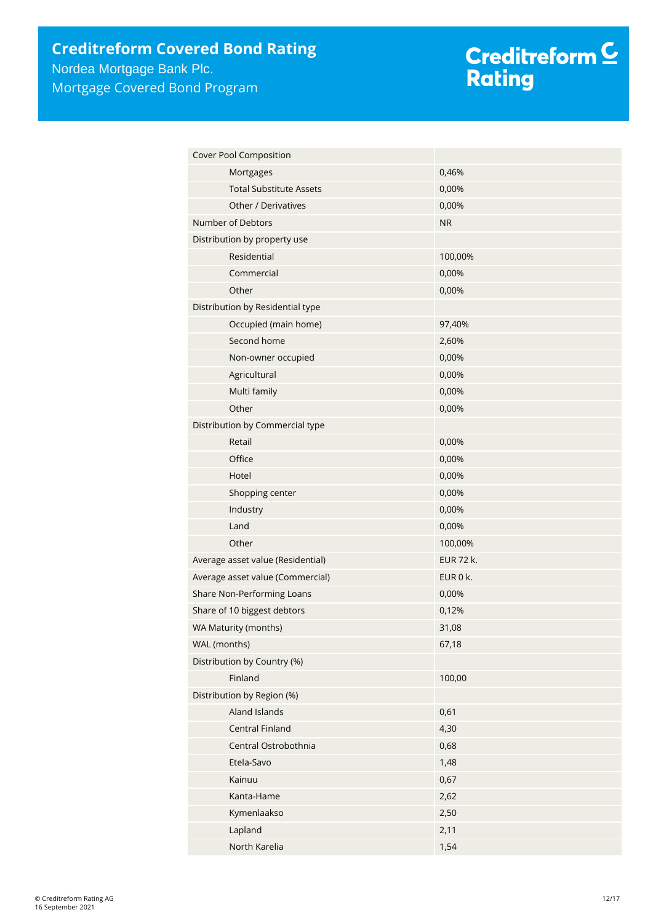# Creditreform <mark>C</mark><br>Rating

| Cover Pool Composition            |                  |
|-----------------------------------|------------------|
| Mortgages                         | 0,46%            |
| <b>Total Substitute Assets</b>    | 0,00%            |
| Other / Derivatives               | 0,00%            |
| Number of Debtors                 | <b>NR</b>        |
| Distribution by property use      |                  |
| Residential                       | 100,00%          |
| Commercial                        | 0,00%            |
| Other                             | 0,00%            |
| Distribution by Residential type  |                  |
| Occupied (main home)              | 97,40%           |
| Second home                       | 2,60%            |
| Non-owner occupied                | 0,00%            |
| Agricultural                      | 0,00%            |
| Multi family                      | 0,00%            |
| Other                             | 0,00%            |
| Distribution by Commercial type   |                  |
| Retail                            | 0,00%            |
| Office                            | 0,00%            |
| Hotel                             | 0,00%            |
| Shopping center                   | 0,00%            |
| Industry                          | 0,00%            |
| Land                              | 0,00%            |
| Other                             | 100,00%          |
| Average asset value (Residential) | <b>EUR 72 k.</b> |
| Average asset value (Commercial)  | EUR 0 k.         |
| Share Non-Performing Loans        | 0,00%            |
| Share of 10 biggest debtors       | 0,12%            |
| WA Maturity (months)              | 31,08            |
| WAL (months)                      | 67,18            |
| Distribution by Country (%)       |                  |
| Finland                           | 100,00           |
| Distribution by Region (%)        |                  |
| Aland Islands                     | 0,61             |
| Central Finland                   | 4,30             |
| Central Ostrobothnia              | 0,68             |
| Etela-Savo                        | 1,48             |
| Kainuu                            | 0,67             |
| Kanta-Hame                        | 2,62             |
| Kymenlaakso                       | 2,50             |
| Lapland                           | 2,11             |
| North Karelia                     | 1,54             |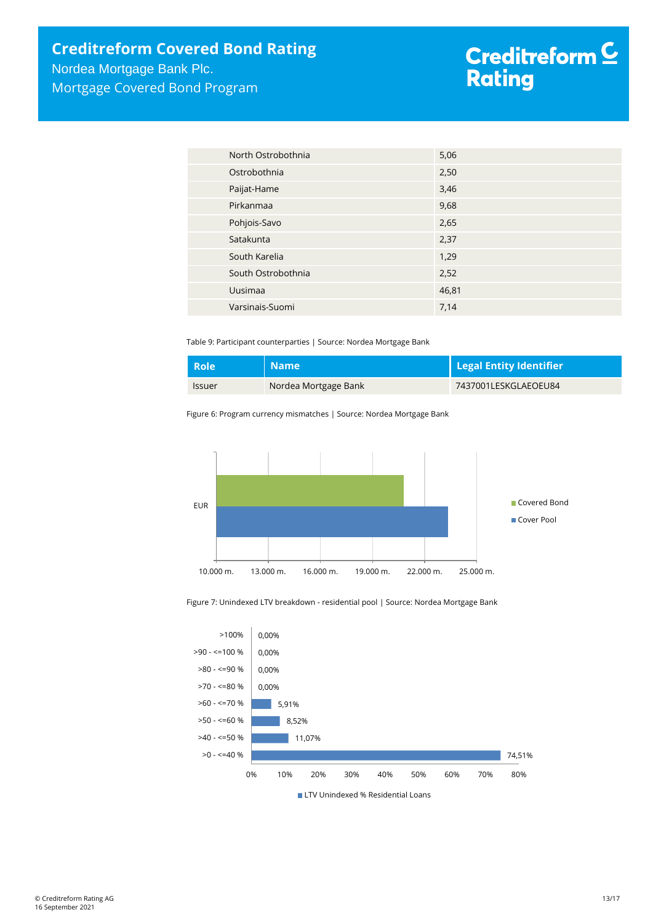# Creditreform <mark>C</mark><br>Rating

| North Ostrobothnia | 5,06  |
|--------------------|-------|
| Ostrobothnia       | 2,50  |
| Paijat-Hame        | 3,46  |
| Pirkanmaa          | 9,68  |
| Pohjois-Savo       | 2,65  |
| Satakunta          | 2,37  |
| South Karelia      | 1,29  |
| South Ostrobothnia | 2,52  |
| Uusimaa            | 46,81 |
| Varsinais-Suomi    | 7,14  |

Table 9: Participant counterparties | Source: Nordea Mortgage Bank

| <b>Role</b>          | <b>Name</b>          | Legal Entity Identifier |
|----------------------|----------------------|-------------------------|
| <i><b>Issuer</b></i> | Nordea Mortgage Bank | 7437001LESKGLAEOEU84    |

Figure 6: Program currency mismatches | Source: Nordea Mortgage Bank



Figure 7: Unindexed LTV breakdown - residential pool | Source: Nordea Mortgage Bank

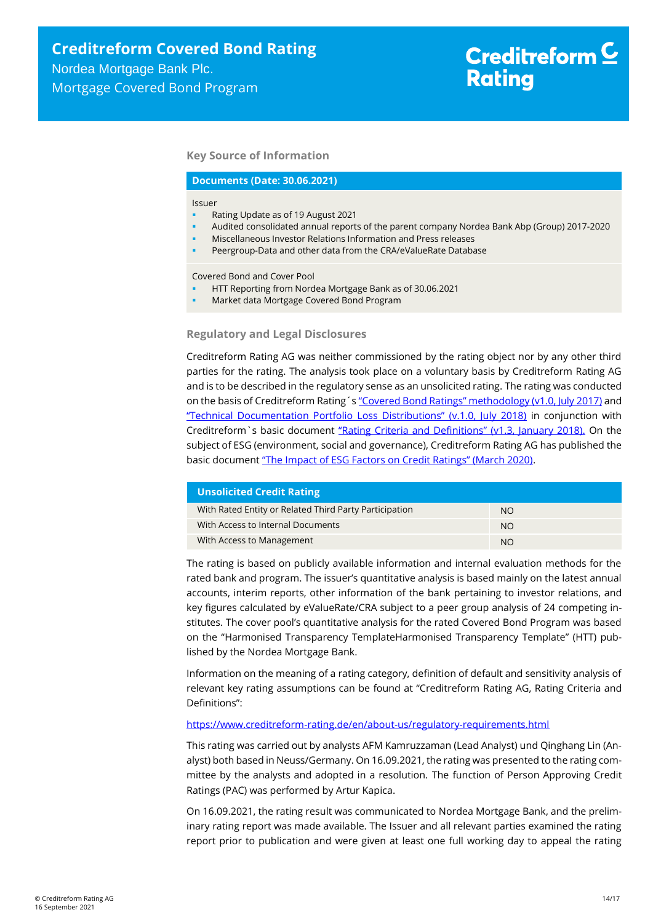### **Key Source of Information**

#### **Documents (Date: 30.06.2021)**

#### Issuer

- Rating Update as of 19 August 2021
- Audited consolidated annual reports of the parent company Nordea Bank Abp (Group) 2017-2020
- Miscellaneous Investor Relations Information and Press releases
- Peergroup-Data and other data from the CRA/eValueRate Database

Covered Bond and Cover Pool

- HTT Reporting from Nordea Mortgage Bank as of 30.06.2021
- Market data Mortgage Covered Bond Program

#### **Regulatory and Legal Disclosures**

Creditreform Rating AG was neither commissioned by the rating object nor by any other third parties for the rating. The analysis took place on a voluntary basis by Creditreform Rating AG and is to be described in the regulatory sense as an unsolicited rating. The rating was conducted on the basis of Creditreform Rating´s "Covered Bond Ratings" m[ethodology \(v1.0, July 2017\)](https://creditreform-rating.de/en/about-us/regulatory-requirements.html?file=files/content/downloads/Externes%20Rating/Regulatorische%20Anforderungen/EN/Ratingmethodiken%20EN/Rating%20Methodology%20Covered%20Bonds.pdf) and ["Technical Documentation Portfolio Loss Distributions" \(v.1.0, July 2018\)](https://creditreform-rating.de/en/about-us/regulatory-requirements.html?file=files/content/downloads/Externes%20Rating/Regulatorische%20Anforderungen/EN/Ratingmethodiken%20EN/Technical%20Documentation%20Portfolio%20Loss%20Distributions.pdf) in conjunction with Creditreform`s basic document ["Rating Criteria and Definitions" \(v1.3, January 2018\).](https://creditreform-rating.de/en/about-us/regulatory-requirements.html?file=files/content/downloads/Externes%20Rating/Regulatorische%20Anforderungen/EN/Ratingmethodiken%20EN/CRAG%20Rating%20Criteria%20and%20Definitions.pdf) On the subject of ESG (environment, social and governance), Creditreform Rating AG has published the basic document ["The Impact of ESG Factors on Credit Ratings" \(March 2020\)](https://creditreform-rating.de/en/about-us/regulatory-requirements.html?file=files/content/downloads/Externes%20Rating/Regulatorische%20Anforderungen/EN/Ratingmethodiken%20EN/The%20Impact%20of%20ESG%20Factors%20on%20Credit%20Ratings.pdf).

| <b>Unsolicited Credit Rating</b>                       |           |
|--------------------------------------------------------|-----------|
| With Rated Entity or Related Third Party Participation | NO.       |
| With Access to Internal Documents                      | <b>NO</b> |
| With Access to Management                              | <b>NO</b> |

The rating is based on publicly available information and internal evaluation methods for the rated bank and program. The issuer's quantitative analysis is based mainly on the latest annual accounts, interim reports, other information of the bank pertaining to investor relations, and key figures calculated by eValueRate/CRA subject to a peer group analysis of 24 competing institutes. The cover pool's quantitative analysis for the rated Covered Bond Program was based on the "Harmonised Transparency TemplateHarmonised Transparency Template" (HTT) published by the Nordea Mortgage Bank.

Information on the meaning of a rating category, definition of default and sensitivity analysis of relevant key rating assumptions can be found at "Creditreform Rating AG, Rating Criteria and Definitions":

# <https://www.creditreform-rating.de/en/about-us/regulatory-requirements.html>

This rating was carried out by analysts AFM Kamruzzaman (Lead Analyst) und Qinghang Lin (Analyst) both based in Neuss/Germany. On 16.09.2021, the rating was presented to the rating committee by the analysts and adopted in a resolution. The function of Person Approving Credit Ratings (PAC) was performed by Artur Kapica.

On 16.09.2021, the rating result was communicated to Nordea Mortgage Bank, and the preliminary rating report was made available. The Issuer and all relevant parties examined the rating report prior to publication and were given at least one full working day to appeal the rating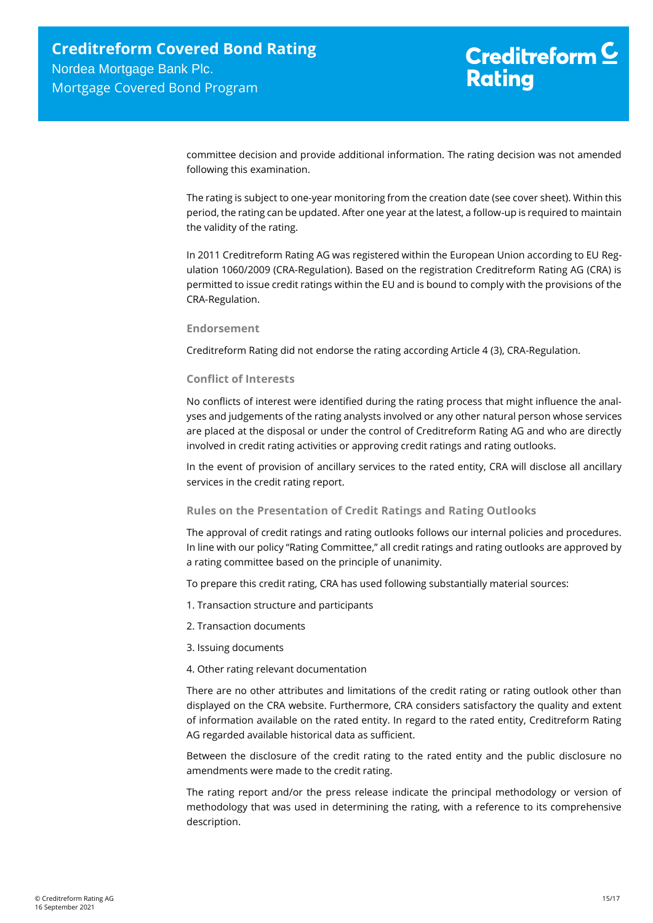committee decision and provide additional information. The rating decision was not amended following this examination.

The rating is subject to one-year monitoring from the creation date (see cover sheet). Within this period, the rating can be updated. After one year at the latest, a follow-up is required to maintain the validity of the rating.

In 2011 Creditreform Rating AG was registered within the European Union according to EU Regulation 1060/2009 (CRA-Regulation). Based on the registration Creditreform Rating AG (CRA) is permitted to issue credit ratings within the EU and is bound to comply with the provisions of the CRA-Regulation.

### **Endorsement**

Creditreform Rating did not endorse the rating according Article 4 (3), CRA-Regulation.

# **Conflict of Interests**

No conflicts of interest were identified during the rating process that might influence the analyses and judgements of the rating analysts involved or any other natural person whose services are placed at the disposal or under the control of Creditreform Rating AG and who are directly involved in credit rating activities or approving credit ratings and rating outlooks.

In the event of provision of ancillary services to the rated entity, CRA will disclose all ancillary services in the credit rating report.

## **Rules on the Presentation of Credit Ratings and Rating Outlooks**

The approval of credit ratings and rating outlooks follows our internal policies and procedures. In line with our policy "Rating Committee," all credit ratings and rating outlooks are approved by a rating committee based on the principle of unanimity.

To prepare this credit rating, CRA has used following substantially material sources:

- 1. Transaction structure and participants
- 2. Transaction documents
- 3. Issuing documents
- 4. Other rating relevant documentation

There are no other attributes and limitations of the credit rating or rating outlook other than displayed on the CRA website. Furthermore, CRA considers satisfactory the quality and extent of information available on the rated entity. In regard to the rated entity, Creditreform Rating AG regarded available historical data as sufficient.

Between the disclosure of the credit rating to the rated entity and the public disclosure no amendments were made to the credit rating.

The rating report and/or the press release indicate the principal methodology or version of methodology that was used in determining the rating, with a reference to its comprehensive description.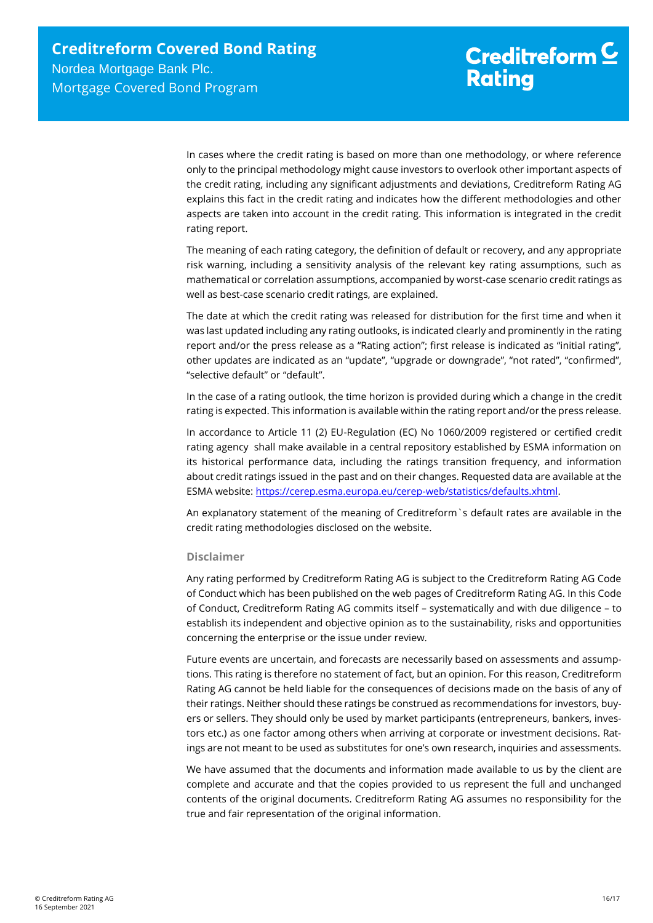In cases where the credit rating is based on more than one methodology, or where reference only to the principal methodology might cause investors to overlook other important aspects of the credit rating, including any significant adjustments and deviations, Creditreform Rating AG explains this fact in the credit rating and indicates how the different methodologies and other aspects are taken into account in the credit rating. This information is integrated in the credit rating report.

The meaning of each rating category, the definition of default or recovery, and any appropriate risk warning, including a sensitivity analysis of the relevant key rating assumptions, such as mathematical or correlation assumptions, accompanied by worst-case scenario credit ratings as well as best-case scenario credit ratings, are explained.

The date at which the credit rating was released for distribution for the first time and when it was last updated including any rating outlooks, is indicated clearly and prominently in the rating report and/or the press release as a "Rating action"; first release is indicated as "initial rating", other updates are indicated as an "update", "upgrade or downgrade", "not rated", "confirmed", "selective default" or "default".

In the case of a rating outlook, the time horizon is provided during which a change in the credit rating is expected. This information is available within the rating report and/or the press release.

In accordance to Article 11 (2) EU-Regulation (EC) No 1060/2009 registered or certified credit rating agency shall make available in a central repository established by ESMA information on its historical performance data, including the ratings transition frequency, and information about credit ratings issued in the past and on their changes. Requested data are available at the ESMA website: [https://cerep.esma.europa.eu/cerep-web/statistics/defaults.xhtml.](https://cerep.esma.europa.eu/cerep-web/statistics/defaults.xhtml)

An explanatory statement of the meaning of Creditreform`s default rates are available in the credit rating methodologies disclosed on the website.

## **Disclaimer**

Any rating performed by Creditreform Rating AG is subject to the Creditreform Rating AG Code of Conduct which has been published on the web pages of Creditreform Rating AG. In this Code of Conduct, Creditreform Rating AG commits itself – systematically and with due diligence – to establish its independent and objective opinion as to the sustainability, risks and opportunities concerning the enterprise or the issue under review.

Future events are uncertain, and forecasts are necessarily based on assessments and assumptions. This rating is therefore no statement of fact, but an opinion. For this reason, Creditreform Rating AG cannot be held liable for the consequences of decisions made on the basis of any of their ratings. Neither should these ratings be construed as recommendations for investors, buyers or sellers. They should only be used by market participants (entrepreneurs, bankers, investors etc.) as one factor among others when arriving at corporate or investment decisions. Ratings are not meant to be used as substitutes for one's own research, inquiries and assessments.

We have assumed that the documents and information made available to us by the client are complete and accurate and that the copies provided to us represent the full and unchanged contents of the original documents. Creditreform Rating AG assumes no responsibility for the true and fair representation of the original information.